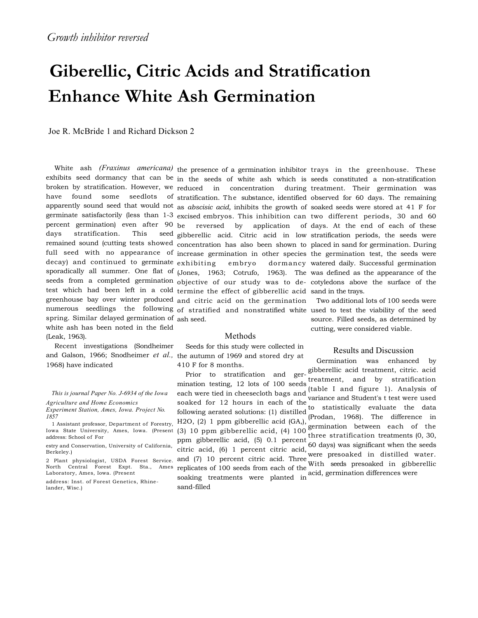# **Giberellic, Citric Acids and Stratification Enhance White Ash Germination**

Joe R. McBride 1 and Richard Dickson 2

White ash *(Fraxinus americana)* the presence of a germination inhibitor trays in the greenhouse. These days stratification. This spring. Similar delayed germination of ash seed. white ash has been noted in the field (Leak, 1963).

Recent investigations (Sondheimer and Galson, 1966; Snodheimer *et al.,*  the autumn of 1969 and stored dry at 1968) have indicated

*This is journal Paper No. J-6934 of the Iowa* 

*Agriculture and Home Economics Experiment Station, Ames, Iowa. Project No.* 

*1857*  1 Assistant professor, Department of Forestry,

Iowa State University, Ames, Iowa. (Present

estry and Conservation, University of California, Berkeley.)

address: Inst. of Forest Genetics, Rhinelander, Wisc.)

exhibits seed dormancy that can be in the seeds of white ash which is seeds constituted a non-stratification broken by stratification. However, we reduced in concentration during treatment. Their germination was have found some seedlots of stratification. The substance, identified observed for 60 days. The remaining apparently sound seed that would not as *abscisic acid,* inhibits the growth of soaked seeds were stored at 41 F for germinate satisfactorily (less than 1-3 excised embryos. This inhibition can two different periods, 30 and 60 percent germination) even after 90 be reversed by application of days. At the end of each of these remained sound (cutting tests showed concentration has also been shown to placed in sand for germination. During full seed with no appearance of increase germination in other species the germination test, the seeds were decay) and continued to germinate exhibiting embryo dormancy sporadically all summer. One flat of (Jones, 1963; Cotrufo, 1963). The was defined as the appearance of the seeds from a completed germination objective of our study was to de-cotyledons above the surface of the test which had been left in a cold termine the effect of gibberellic acid sand in the trays. greenhouse bay over winter produced and citric acid on the germination numerous seedlings the following of stratified and nonstratified white used to test the viability of the seed gibberellic acid. Citric acid in low stratification periods, the seeds were

#### Methods

Seeds for this study were collected in 410 F for 8 months.

dormancy watered daily. Successful germination

Two additional lots of 100 seeds were source. Filled seeds, as determined by cutting, were considered viable.

### Results and Discussion

Germination was enhanced by

I Assistant protessor, Department of Forestry,  $\frac{1}{2}$ ,  $\frac{1}{2}$ ,  $\frac{1}{2}$ ,  $\frac{1}{2}$ ,  $\frac{1}{2}$ ,  $\frac{1}{2}$ ,  $\frac{1}{2}$ ,  $\frac{1}{2}$ ,  $\frac{1}{2}$ ,  $\frac{1}{2}$ ,  $\frac{1}{2}$ ,  $\frac{1}{2}$ ,  $\frac{1}{2}$ ,  $\frac{1}{2}$ ,  $\frac{1}{2}$  are extrati Prior to stratification and germination testing, 12 lots of 100 seeds each were tied in cheesecloth bags and soaked for 12 hours in each of the following aerated solutions: (1) distilled H2O, (2) 1 ppm gibberellic acid (GA,), ppm gibberellic acid,  $(5)$  0.1 percent  $(6, 3)$ ,  $(7, 10)$  three stratification treatments  $(0, 30)$ , citric acid, (6) 1 percent citric acid, were presoaked in distilled water. and (7) 10 percent citric acid. Three were presented in distinct water. replicates of 100 seeds from each of the soaking treatments were planted in acid, germination differences were sand-filled gibberellic acid treatment, citric. acid treatment, and by stratification (table I and figure 1). Analysis of variance and Student's t test were used to statistically evaluate the data (Prodan, 1968). The difference in 60 days) was significant when the seeds

<sup>2</sup> Plant physiologist, USDA Forest Service. North Central Forest Expt. Sta., Ames Laboratory, Ames, Iowa. (Present